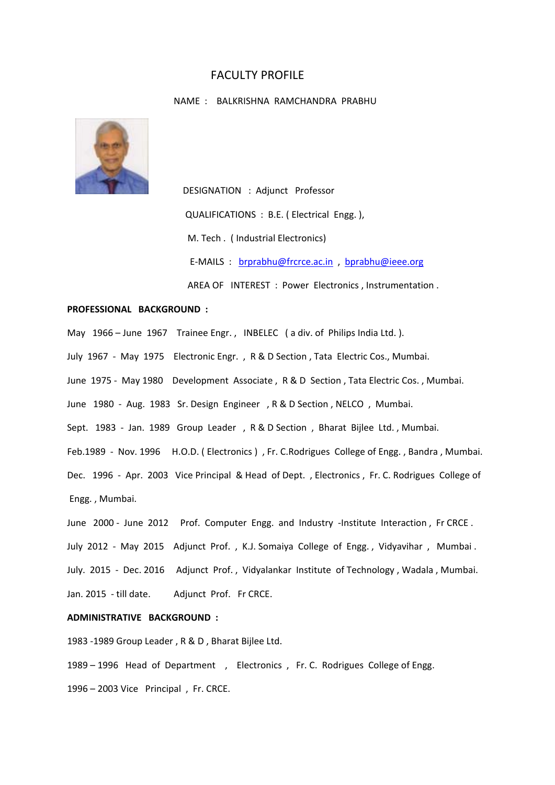# FACULTY PROFILE

#### NAME : BALKRISHNA RAMCHANDRA PRABHU



 DESIGNATION : Adjunct Professor QUALIFICATIONS : B.E. ( Electrical Engg. ), M. Tech . ( Industrial Electronics) E-MAILS : **brorabhu@frcrce.ac.in** bprabhu@ieee.org AREA OF INTEREST : Power Electronics, Instrumentation.

# **PROFESSIONAL BACKGROUND :**

May 1966 – June 1967 Trainee Engr., INBELEC (a div. of Philips India Ltd.). July 1967 - May 1975 Electronic Engr., R & D Section, Tata Electric Cos., Mumbai. June 1975 - May 1980 Development Associate, R & D Section, Tata Electric Cos., Mumbai. June 1980 - Aug. 1983 Sr. Design Engineer , R & D Section, NELCO, Mumbai. Sept. 1983 - Jan. 1989 Group Leader , R & D Section , Bharat Bijlee Ltd., Mumbai. Feb.1989 - Nov. 1996 H.O.D. (Electronics), Fr. C.Rodrigues College of Engg., Bandra, Mumbai. Dec. 1996 - Apr. 2003 Vice Principal & Head of Dept. , Electronics, Fr. C. Rodrigues College of Engg. , Mumbai.

June 2000 - June 2012 Prof. Computer Engg. and Industry -Institute Interaction, Fr CRCE. July 2012 - May 2015 Adjunct Prof., K.J. Somaiya College of Engg., Vidyavihar, Mumbai. July. 2015 - Dec. 2016 Adjunct Prof., Vidyalankar Institute of Technology, Wadala, Mumbai. Jan. 2015 ‐ till date. Adjunct Prof. Fr CRCE.

# **ADMINISTRATIVE BACKGROUND :**

1983 ‐1989 Group Leader , R & D , Bharat Bijlee Ltd.

1989 – 1996 Head of Department , Electronics, Fr. C. Rodrigues College of Engg. 1996 – 2003 Vice Principal , Fr. CRCE.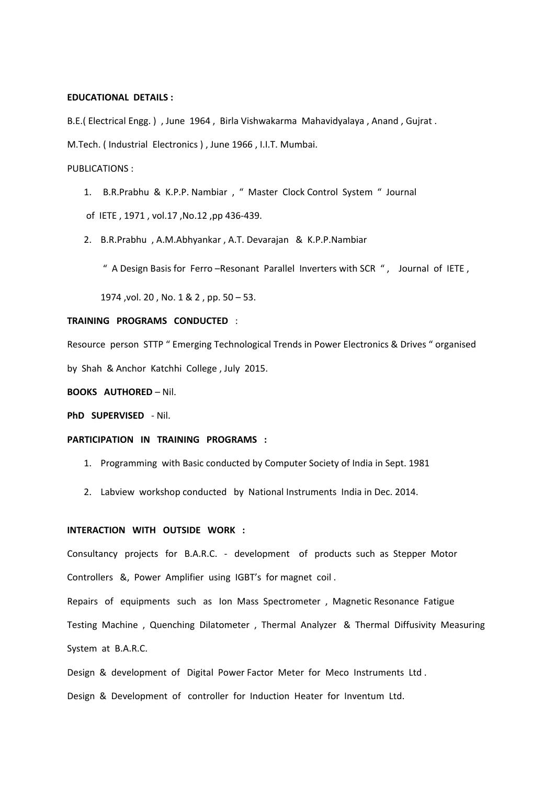# **EDUCATIONAL DETAILS :**

B.E.( Electrical Engg. ), June 1964, Birla Vishwakarma Mahavidyalaya, Anand, Gujrat. M.Tech. ( Industrial Electronics ) , June 1966 , I.I.T. Mumbai.

# PUBLICATIONS :

1. B.R.Prabhu & K.P.P. Nambiar , " Master Clock Control System " Journal of IETE , 1971 , vol.17 ,No.12 ,pp 436‐439.

2. B.R.Prabhu , A.M.Abhyankar , A.T. Devarajan & K.P.P.Nambiar

" A Design Basis for Ferro –Resonant Parallel Inverters with SCR " , Journal of IETE ,

1974 ,vol. 20 , No. 1 & 2 , pp. 50 – 53.

## **TRAINING PROGRAMS CONDUCTED** :

Resource person STTP " Emerging Technological Trends in Power Electronics & Drives " organised by Shah & Anchor Katchhi College , July 2015.

**BOOKS AUTHORED** – Nil.

**PhD SUPERVISED - Nil.** 

#### **PARTICIPATION IN TRAINING PROGRAMS :**

- 1. Programming with Basic conducted by Computer Society of India in Sept. 1981
- 2. Labview workshop conducted by National Instruments India in Dec. 2014.

# **INTERACTION WITH OUTSIDE WORK :**

Consultancy projects for B.A.R.C. - development of products such as Stepper Motor Controllers &, Power Amplifier using IGBT's for magnet coil .

Repairs of equipments such as Ion Mass Spectrometer , Magnetic Resonance Fatigue Testing Machine , Quenching Dilatometer, Thermal Analyzer & Thermal Diffusivity Measuring System at B.A.R.C.

Design & development of Digital Power Factor Meter for Meco Instruments Ltd.

Design & Development of controller for Induction Heater for Inventum Ltd.